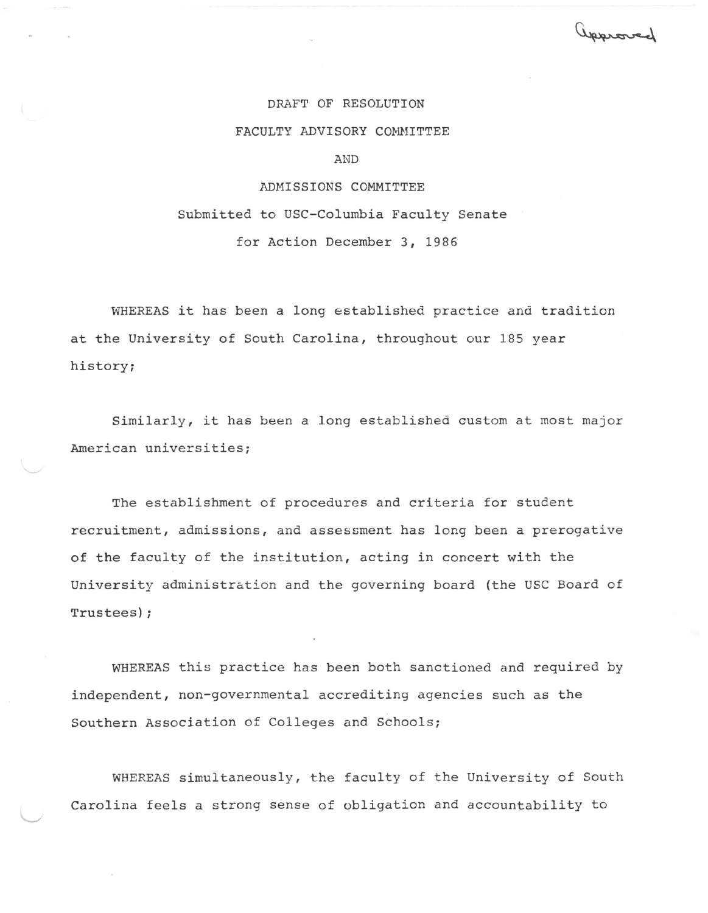approved

## DRAFT OF RESOLUTION FACULTY ADVISORY COMMITTEE

AND

ADMISSIONS COMMITTEE Submitted to USC-Columbia Faculty Senate for Action December 3, 1986

WHEREAS it has been a long established practice and tradition at the University of South Carolina, throughout our 185 year history;

Similarly, it has been a long established custom at most major American universities;

The establishment of procedures and criteria for student recruitment, admissions, and assessment has long been a prerogative of the faculty of the institution, acting in concert with the University administration and the governing board (the USC Board of Trustees) ;

WHEREAS this practice has been both sanctioned and required by independent, non-governmental accrediting agencies such as the Southern Association of Colleges and Schools;

WHEREAS simultaneously, the faculty of the University of South Carolina feels a strong sense of obligation and accountability to